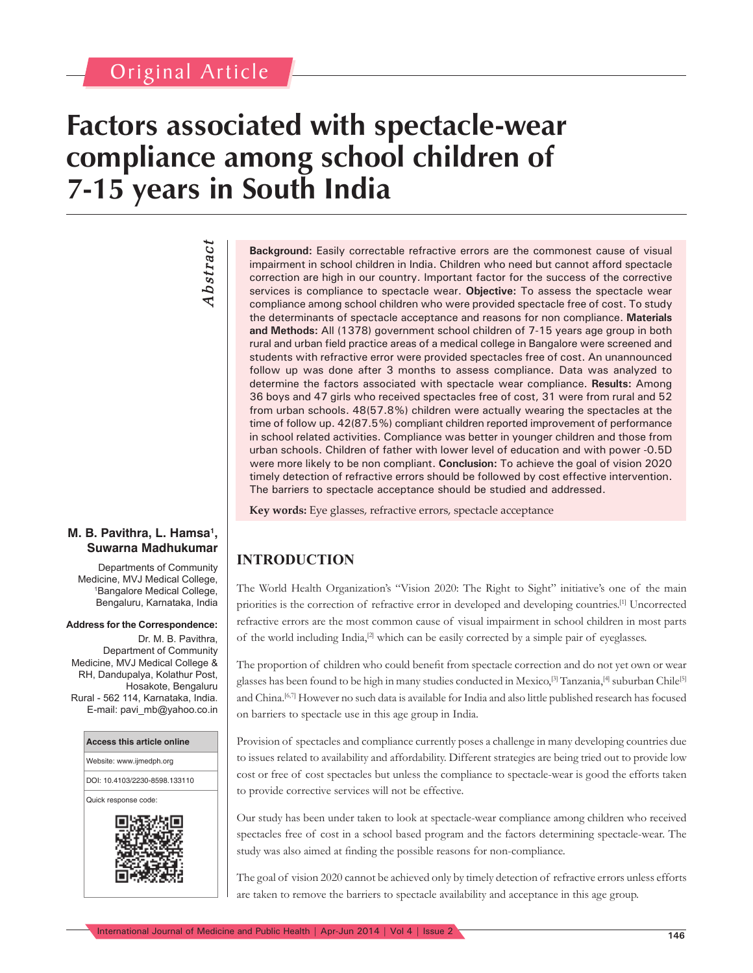# **Factors associated with spectacle-wear compliance among school children of 7-15 years in South India**

*Abstract* **Abstract** 

**Background:** Easily correctable refractive errors are the commonest cause of visual impairment in school children in India. Children who need but cannot afford spectacle correction are high in our country. Important factor for the success of the corrective services is compliance to spectacle wear. **Objective:** To assess the spectacle wear compliance among school children who were provided spectacle free of cost. To study the determinants of spectacle acceptance and reasons for non compliance. **Materials and Methods:** All (1378) government school children of 7-15 years age group in both rural and urban field practice areas of a medical college in Bangalore were screened and students with refractive error were provided spectacles free of cost. An unannounced follow up was done after 3 months to assess compliance. Data was analyzed to determine the factors associated with spectacle wear compliance. **Results:** Among 36 boys and 47 girls who received spectacles free of cost, 31 were from rural and 52 from urban schools. 48(57.8%) children were actually wearing the spectacles at the time of follow up. 42(87.5%) compliant children reported improvement of performance in school related activities. Compliance was better in younger children and those from urban schools. Children of father with lower level of education and with power -0.5D were more likely to be non compliant. **Conclusion:** To achieve the goal of vision 2020 timely detection of refractive errors should be followed by cost effective intervention. The barriers to spectacle acceptance should be studied and addressed.

**Key words:** Eye glasses, refractive errors, spectacle acceptance

# **Suwarna Madhukumar**

Departments of Community Medicine, MVJ Medical College, 1 Bangalore Medical College, Bengaluru, Karnataka, India

**M. B. Pavithra, L. Hamsa1 ,** 

#### **Address for the Correspondence:**

Dr. M. B. Pavithra, Department of Community Medicine, MVJ Medical College & RH, Dandupalya, Kolathur Post, Hosakote, Bengaluru Rural - 562 114, Karnataka, India. E-mail: pavi\_mb@yahoo.co.in



# **INTRODUCTION**

The World Health Organization's "Vision 2020: The Right to Sight" initiative's one of the main priorities is the correction of refractive error in developed and developing countries.[1] Uncorrected refractive errors are the most common cause of visual impairment in school children in most parts of the world including India,<sup>[2]</sup> which can be easily corrected by a simple pair of eyeglasses.

The proportion of children who could benefit from spectacle correction and do not yet own or wear glasses has been found to be high in many studies conducted in Mexico,[3] Tanzania,[4] suburban Chile[5] and China.[6,7] However no such data is available for India and also little published research has focused on barriers to spectacle use in this age group in India.

Provision of spectacles and compliance currently poses a challenge in many developing countries due to issues related to availability and affordability. Different strategies are being tried out to provide low cost or free of cost spectacles but unless the compliance to spectacle-wear is good the efforts taken to provide corrective services will not be effective.

Our study has been under taken to look at spectacle-wear compliance among children who received spectacles free of cost in a school based program and the factors determining spectacle-wear. The study was also aimed at finding the possible reasons for non-compliance.

The goal of vision 2020 cannot be achieved only by timely detection of refractive errors unless efforts are taken to remove the barriers to spectacle availability and acceptance in this age group.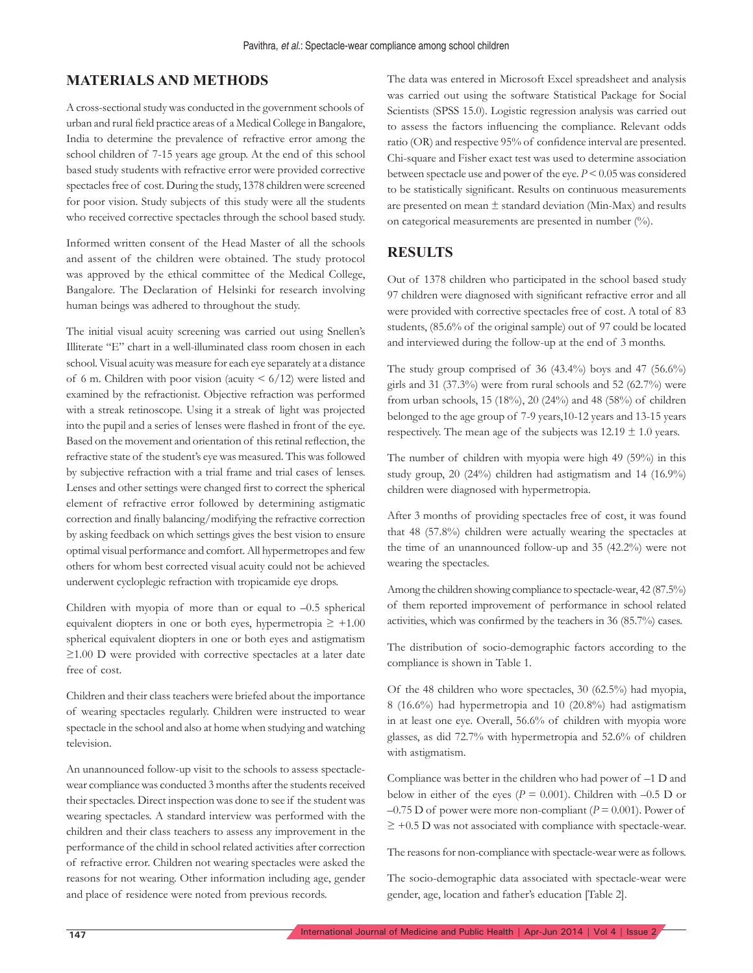# **MATERIALS AND METHODS**

A cross-sectional study was conducted in the government schools of urban and rural field practice areas of a Medical College in Bangalore, India to determine the prevalence of refractive error among the school children of 7-15 years age group. At the end of this school based study students with refractive error were provided corrective spectacles free of cost. During the study, 1378 children were screened for poor vision. Study subjects of this study were all the students who received corrective spectacles through the school based study.

Informed written consent of the Head Master of all the schools and assent of the children were obtained. The study protocol was approved by the ethical committee of the Medical College, Bangalore. The Declaration of Helsinki for research involving human beings was adhered to throughout the study.

The initial visual acuity screening was carried out using Snellen's Illiterate "E" chart in a well-illuminated class room chosen in each school. Visual acuity was measure for each eye separately at a distance of 6 m. Children with poor vision (acuity  $\leq 6/12$ ) were listed and examined by the refractionist. Objective refraction was performed with a streak retinoscope. Using it a streak of light was projected into the pupil and a series of lenses were flashed in front of the eye. Based on the movement and orientation of this retinal reflection, the refractive state of the student's eye was measured. This was followed by subjective refraction with a trial frame and trial cases of lenses. Lenses and other settings were changed first to correct the spherical element of refractive error followed by determining astigmatic correction and finally balancing/modifying the refractive correction by asking feedback on which settings gives the best vision to ensure optimal visual performance and comfort. All hypermetropes and few others for whom best corrected visual acuity could not be achieved underwent cycloplegic refraction with tropicamide eye drops.

Children with myopia of more than or equal to –0.5 spherical equivalent diopters in one or both eyes, hypermetropia  $\geq +1.00$ spherical equivalent diopters in one or both eyes and astigmatism ≥1.00 D were provided with corrective spectacles at a later date free of cost.

Children and their class teachers were briefed about the importance of wearing spectacles regularly. Children were instructed to wear spectacle in the school and also at home when studying and watching television.

An unannounced follow-up visit to the schools to assess spectaclewear compliance was conducted 3 months after the students received their spectacles. Direct inspection was done to see if the student was wearing spectacles. A standard interview was performed with the children and their class teachers to assess any improvement in the performance of the child in school related activities after correction of refractive error. Children not wearing spectacles were asked the reasons for not wearing. Other information including age, gender and place of residence were noted from previous records.

The data was entered in Microsoft Excel spreadsheet and analysis was carried out using the software Statistical Package for Social Scientists (SPSS 15.0). Logistic regression analysis was carried out to assess the factors influencing the compliance. Relevant odds ratio (OR) and respective 95% of confidence interval are presented. Chi-square and Fisher exact test was used to determine association between spectacle use and power of the eye. *P* < 0.05 was considered to be statistically significant. Results on continuous measurements are presented on mean ± standard deviation (Min-Max) and results on categorical measurements are presented in number (%).

# **RESULTS**

Out of 1378 children who participated in the school based study 97 children were diagnosed with significant refractive error and all were provided with corrective spectacles free of cost. A total of 83 students, (85.6% of the original sample) out of 97 could be located and interviewed during the follow-up at the end of 3 months.

The study group comprised of 36 (43.4%) boys and 47 (56.6%) girls and 31 (37.3%) were from rural schools and 52 (62.7%) were from urban schools, 15 (18%), 20 (24%) and 48 (58%) of children belonged to the age group of 7-9 years,10-12 years and 13-15 years respectively. The mean age of the subjects was  $12.19 \pm 1.0$  years.

The number of children with myopia were high 49 (59%) in this study group, 20 (24%) children had astigmatism and 14 (16.9%) children were diagnosed with hypermetropia.

After 3 months of providing spectacles free of cost, it was found that 48 (57.8%) children were actually wearing the spectacles at the time of an unannounced follow-up and 35 (42.2%) were not wearing the spectacles.

Among the children showing compliance to spectacle-wear, 42 (87.5%) of them reported improvement of performance in school related activities, which was confirmed by the teachers in 36 (85.7%) cases.

The distribution of socio-demographic factors according to the compliance is shown in Table 1.

Of the 48 children who wore spectacles, 30 (62.5%) had myopia, 8 (16.6%) had hypermetropia and 10 (20.8%) had astigmatism in at least one eye. Overall, 56.6% of children with myopia wore glasses, as did 72.7% with hypermetropia and 52.6% of children with astigmatism.

Compliance was better in the children who had power of –1 D and below in either of the eyes ( $P = 0.001$ ). Children with  $-0.5$  D or  $-0.75$  D of power were more non-compliant ( $P = 0.001$ ). Power of  $\geq$  +0.5 D was not associated with compliance with spectacle-wear.

The reasons for non-compliance with spectacle-wear were as follows.

The socio-demographic data associated with spectacle-wear were gender, age, location and father's education [Table 2].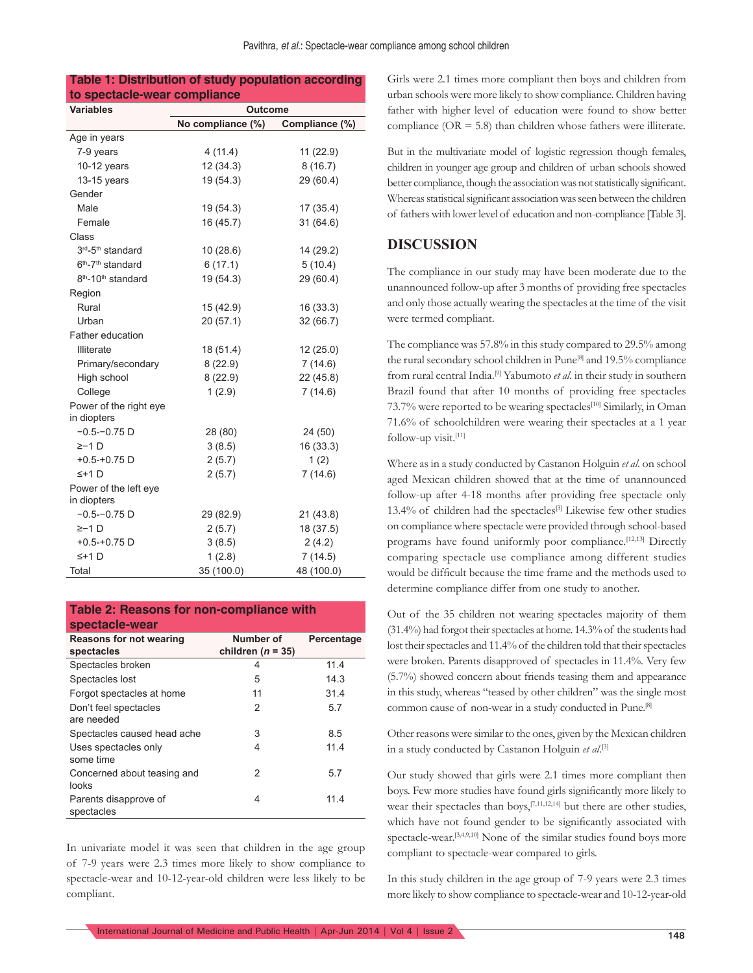#### **Table 1: Distribution of study population according to spectacle-wear compliance**

| <b>Variables</b>                           | Outcome           |                |  |  |  |
|--------------------------------------------|-------------------|----------------|--|--|--|
|                                            | No compliance (%) | Compliance (%) |  |  |  |
| Age in years                               |                   |                |  |  |  |
| 7-9 years                                  | 4(11.4)           | 11 (22.9)      |  |  |  |
| 10-12 years                                | 12(34.3)          | 8(16.7)        |  |  |  |
| 13-15 years                                | 19 (54.3)         | 29 (60.4)      |  |  |  |
| Gender                                     |                   |                |  |  |  |
| Male                                       | 19 (54.3)         | 17 (35.4)      |  |  |  |
| Female                                     | 16(45.7)          | 31(64.6)       |  |  |  |
| Class                                      |                   |                |  |  |  |
| 3rd-5 <sup>th</sup> standard               | 10(28.6)          | 14 (29.2)      |  |  |  |
| $6th - 7th$ standard                       | 6(17.1)           | 5(10.4)        |  |  |  |
| 8 <sup>th</sup> -10 <sup>th</sup> standard | 19 (54.3)         | 29 (60.4)      |  |  |  |
| Region                                     |                   |                |  |  |  |
| Rural                                      | 15 (42.9)         | 16 (33.3)      |  |  |  |
| Urban                                      | 20(57.1)          | 32 (66.7)      |  |  |  |
| Father education                           |                   |                |  |  |  |
| <b>Illiterate</b>                          | 18 (51.4)         | 12(25.0)       |  |  |  |
| Primary/secondary                          | 8(22.9)           | 7(14.6)        |  |  |  |
| High school                                | 8(22.9)           | 22(45.8)       |  |  |  |
| College                                    | 1(2.9)            | 7(14.6)        |  |  |  |
| Power of the right eye                     |                   |                |  |  |  |
| in diopters                                |                   |                |  |  |  |
| $-0.5 - 0.75$ D                            | 28 (80)           | 24 (50)        |  |  |  |
| $\geq -1$ D                                | 3(8.5)            | 16 (33.3)      |  |  |  |
| $+0.5 - +0.75$ D                           | 2(5.7)            | 1(2)           |  |  |  |
| $5+1$ D                                    | 2(5.7)            | 7(14.6)        |  |  |  |
| Power of the left eye<br>in diopters       |                   |                |  |  |  |
| $-0.5 - 0.75$ D                            | 29 (82.9)         | 21 (43.8)      |  |  |  |
| $\ge -1$ D                                 | 2(5.7)            | 18 (37.5)      |  |  |  |
| $+0.5 - +0.75$ D                           | 3(8.5)            | 2(4.2)         |  |  |  |
| $5+1$ D                                    | 1(2.8)            | 7(14.5)        |  |  |  |
| Total                                      | 35 (100.0)        | 48 (100.0)     |  |  |  |

#### **Table 2: Reasons for non-compliance with spectacle-wear**

| <b>Reasons for not wearing</b><br>spectacles | Number of<br>children ( $n = 35$ ) | Percentage |
|----------------------------------------------|------------------------------------|------------|
| Spectacles broken                            | 4                                  | 11.4       |
| Spectacles lost                              | 5                                  | 14.3       |
| Forgot spectacles at home                    | 11                                 | 31.4       |
| Don't feel spectacles<br>are needed          | 2                                  | 5.7        |
| Spectacles caused head ache                  | 3                                  | 8.5        |
| Uses spectacles only<br>some time            | 4                                  | 11.4       |
| Concerned about teasing and<br>looks         | 2                                  | 5.7        |
| Parents disapprove of<br>spectacles          | 4                                  | 11.4       |

In univariate model it was seen that children in the age group of 7-9 years were 2.3 times more likely to show compliance to spectacle-wear and 10-12-year-old children were less likely to be compliant.

Girls were 2.1 times more compliant then boys and children from urban schools were more likely to show compliance. Children having father with higher level of education were found to show better compliance ( $OR = 5.8$ ) than children whose fathers were illiterate.

But in the multivariate model of logistic regression though females, children in younger age group and children of urban schools showed better compliance, though the association was not statistically significant. Whereas statistical significant association was seen between the children of fathers with lower level of education and non-compliance [Table 3].

# **DISCUSSION**

The compliance in our study may have been moderate due to the unannounced follow-up after 3 months of providing free spectacles and only those actually wearing the spectacles at the time of the visit were termed compliant.

The compliance was 57.8% in this study compared to 29.5% among the rural secondary school children in Pune<sup>[8]</sup> and 19.5% compliance from rural central India.[9] Yabumoto *et al*. in their study in southern Brazil found that after 10 months of providing free spectacles 73.7% were reported to be wearing spectacles<sup>[10]</sup> Similarly, in Oman 71.6% of schoolchildren were wearing their spectacles at a 1 year follow-up visit.[11]

Where as in a study conducted by Castanon Holguin *et al*. on school aged Mexican children showed that at the time of unannounced follow-up after 4-18 months after providing free spectacle only 13.4% of children had the spectacles<sup>[3]</sup> Likewise few other studies on compliance where spectacle were provided through school-based programs have found uniformly poor compliance.<sup>[12,13]</sup> Directly comparing spectacle use compliance among different studies would be difficult because the time frame and the methods used to determine compliance differ from one study to another.

Out of the 35 children not wearing spectacles majority of them (31.4%) had forgot their spectacles at home. 14.3% of the students had lost their spectacles and 11.4% of the children told that their spectacles were broken. Parents disapproved of spectacles in 11.4%. Very few (5.7%) showed concern about friends teasing them and appearance in this study, whereas "teased by other children" was the single most common cause of non-wear in a study conducted in Pune.[8]

Other reasons were similar to the ones, given by the Mexican children in a study conducted by Castanon Holguin *et al*. [3]

Our study showed that girls were 2.1 times more compliant then boys. Few more studies have found girls significantly more likely to wear their spectacles than boys,<sup>[7,11,12,14]</sup> but there are other studies, which have not found gender to be significantly associated with spectacle-wear.<sup>[3,4,9,10]</sup> None of the similar studies found boys more compliant to spectacle-wear compared to girls.

In this study children in the age group of 7-9 years were 2.3 times more likely to show compliance to spectacle-wear and 10-12-year-old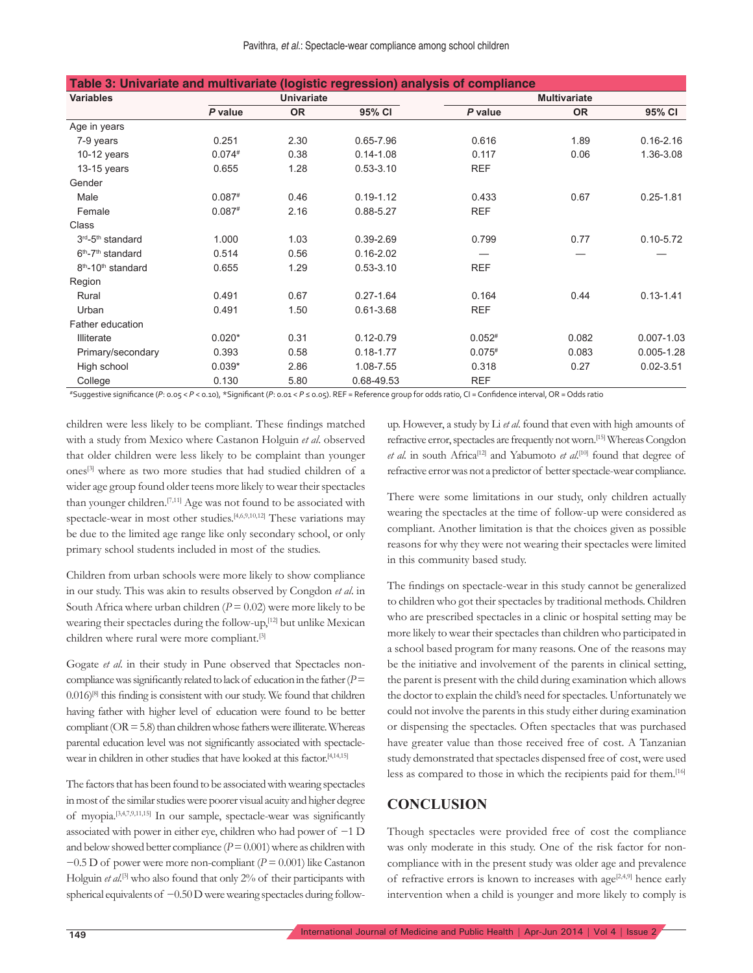| Table 3: Univariate and multivariate (logistic regression) analysis of compliance |                   |           |               |                     |           |                |
|-----------------------------------------------------------------------------------|-------------------|-----------|---------------|---------------------|-----------|----------------|
| <b>Variables</b>                                                                  | <b>Univariate</b> |           |               | <b>Multivariate</b> |           |                |
|                                                                                   | P value           | <b>OR</b> | 95% CI        | P value             | <b>OR</b> | 95% CI         |
| Age in years                                                                      |                   |           |               |                     |           |                |
| 7-9 years                                                                         | 0.251             | 2.30      | $0.65 - 7.96$ | 0.616               | 1.89      | $0.16 - 2.16$  |
| $10-12$ years                                                                     | $0.074*$          | 0.38      | $0.14 - 1.08$ | 0.117               | 0.06      | 1.36-3.08      |
| $13-15$ years                                                                     | 0.655             | 1.28      | $0.53 - 3.10$ | <b>REF</b>          |           |                |
| Gender                                                                            |                   |           |               |                     |           |                |
| Male                                                                              | $0.087*$          | 0.46      | $0.19 - 1.12$ | 0.433               | 0.67      | $0.25 - 1.81$  |
| Female                                                                            | $0.087*$          | 2.16      | 0.88-5.27     | <b>REF</b>          |           |                |
| Class                                                                             |                   |           |               |                     |           |                |
| 3rd-5th standard                                                                  | 1.000             | 1.03      | $0.39 - 2.69$ | 0.799               | 0.77      | $0.10 - 5.72$  |
| $6th - 7th$ standard                                                              | 0.514             | 0.56      | $0.16 - 2.02$ |                     |           |                |
| 8 <sup>th</sup> -10 <sup>th</sup> standard                                        | 0.655             | 1.29      | $0.53 - 3.10$ | <b>REF</b>          |           |                |
| Region                                                                            |                   |           |               |                     |           |                |
| Rural                                                                             | 0.491             | 0.67      | $0.27 - 1.64$ | 0.164               | 0.44      | $0.13 - 1.41$  |
| Urban                                                                             | 0.491             | 1.50      | $0.61 - 3.68$ | <b>REF</b>          |           |                |
| Father education                                                                  |                   |           |               |                     |           |                |
| <b>Illiterate</b>                                                                 | $0.020*$          | 0.31      | $0.12 - 0.79$ | $0.052*$            | 0.082     | $0.007 - 1.03$ |
| Primary/secondary                                                                 | 0.393             | 0.58      | $0.18 - 1.77$ | $0.075*$            | 0.083     | $0.005 - 1.28$ |
| High school                                                                       | $0.039*$          | 2.86      | 1.08-7.55     | 0.318               | 0.27      | $0.02 - 3.51$  |
| College                                                                           | 0.130             | 5.80      | 0.68-49.53    | <b>REF</b>          |           |                |

#Suggestive signifi cance (*P*: 0.05 < *P* < 0.10), \*Signifi cant (*P*: 0.01 < *P* ≤ 0.05). REF = Reference group for odds ratio, CI = Confi dence interval, OR = Odds ratio

children were less likely to be compliant. These findings matched with a study from Mexico where Castanon Holguin *et al*. observed that older children were less likely to be complaint than younger ones[3] where as two more studies that had studied children of a wider age group found older teens more likely to wear their spectacles than younger children.[7,11] Age was not found to be associated with spectacle-wear in most other studies.[4,6,9,10,12] These variations may be due to the limited age range like only secondary school, or only primary school students included in most of the studies.

Children from urban schools were more likely to show compliance in our study. This was akin to results observed by Congdon *et al*. in South Africa where urban children  $(P = 0.02)$  were more likely to be wearing their spectacles during the follow-up,[12] but unlike Mexican children where rural were more compliant.[3]

Gogate *et al*. in their study in Pune observed that Spectacles noncompliance was significantly related to lack of education in the father  $(P =$  $0.016$ <sup>[8]</sup> this finding is consistent with our study. We found that children having father with higher level of education were found to be better compliant ( $OR = 5.8$ ) than children whose fathers were illiterate. Whereas parental education level was not significantly associated with spectaclewear in children in other studies that have looked at this factor.<sup>[4,14,15]</sup>

The factors that has been found to be associated with wearing spectacles in most of the similar studies were poorer visual acuity and higher degree of myopia.<sup>[3,4,7,9,11,15]</sup> In our sample, spectacle-wear was significantly associated with power in either eye, children who had power of −1 D and below showed better compliance  $(P = 0.001)$  where as children with −0.5 D of power were more non-compliant (*P* = 0.001) like Castanon Holguin *et al*. [3] who also found that only 2% of their participants with spherical equivalents of −0.50 D were wearing spectacles during followup. However, a study by Li *et al*. found that even with high amounts of refractive error, spectacles are frequently not worn.[15] Whereas Congdon *et al.* in south Africa<sup>[12]</sup> and Yabumoto *et al.*<sup>[10]</sup> found that degree of refractive error was not a predictor of better spectacle-wear compliance.

There were some limitations in our study, only children actually wearing the spectacles at the time of follow-up were considered as compliant. Another limitation is that the choices given as possible reasons for why they were not wearing their spectacles were limited in this community based study.

The findings on spectacle-wear in this study cannot be generalized to children who got their spectacles by traditional methods. Children who are prescribed spectacles in a clinic or hospital setting may be more likely to wear their spectacles than children who participated in a school based program for many reasons. One of the reasons may be the initiative and involvement of the parents in clinical setting, the parent is present with the child during examination which allows the doctor to explain the child's need for spectacles. Unfortunately we could not involve the parents in this study either during examination or dispensing the spectacles. Often spectacles that was purchased have greater value than those received free of cost. A Tanzanian study demonstrated that spectacles dispensed free of cost, were used less as compared to those in which the recipients paid for them.[16]

### **CONCLUSION**

Though spectacles were provided free of cost the compliance was only moderate in this study. One of the risk factor for noncompliance with in the present study was older age and prevalence of refractive errors is known to increases with age<sup>[2,4,9]</sup> hence early intervention when a child is younger and more likely to comply is